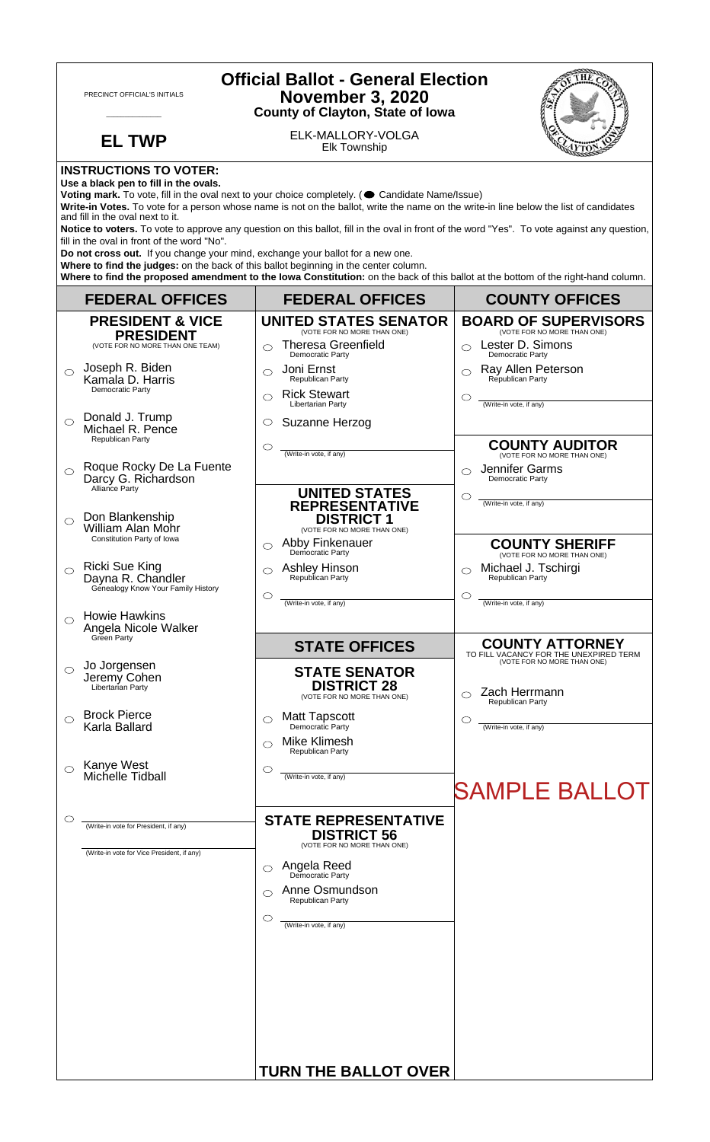| <b>Official Ballot - General Election</b><br>PRECINCT OFFICIAL'S INITIALS<br><b>November 3, 2020</b><br><b>County of Clayton, State of Iowa</b>                                                                                                                                                                                                                                                                                                                                                                                                      |                                                                                                                                                                                                                                                                                                             |                                                                                                                                   |                                                                                                   |  |  |
|------------------------------------------------------------------------------------------------------------------------------------------------------------------------------------------------------------------------------------------------------------------------------------------------------------------------------------------------------------------------------------------------------------------------------------------------------------------------------------------------------------------------------------------------------|-------------------------------------------------------------------------------------------------------------------------------------------------------------------------------------------------------------------------------------------------------------------------------------------------------------|-----------------------------------------------------------------------------------------------------------------------------------|---------------------------------------------------------------------------------------------------|--|--|
|                                                                                                                                                                                                                                                                                                                                                                                                                                                                                                                                                      | <b>EL TWP</b>                                                                                                                                                                                                                                                                                               | ELK-MALLORY-VOLGA<br>Elk Township                                                                                                 |                                                                                                   |  |  |
| <b>INSTRUCTIONS TO VOTER:</b><br>Use a black pen to fill in the ovals.<br>Voting mark. To vote, fill in the oval next to your choice completely. (Condidate Name/Issue)<br>Write-in Votes. To vote for a person whose name is not on the ballot, write the name on the write-in line below the list of candidates<br>and fill in the oval next to it.<br>Notice to voters. To vote to approve any question on this ballot, fill in the oval in front of the word "Yes". To vote against any question,<br>fill in the oval in front of the word "No". |                                                                                                                                                                                                                                                                                                             |                                                                                                                                   |                                                                                                   |  |  |
|                                                                                                                                                                                                                                                                                                                                                                                                                                                                                                                                                      | Do not cross out. If you change your mind, exchange your ballot for a new one.<br>Where to find the judges: on the back of this ballot beginning in the center column.<br>Where to find the proposed amendment to the lowa Constitution: on the back of this ballot at the bottom of the right-hand column. |                                                                                                                                   |                                                                                                   |  |  |
|                                                                                                                                                                                                                                                                                                                                                                                                                                                                                                                                                      | <b>FEDERAL OFFICES</b>                                                                                                                                                                                                                                                                                      | <b>FEDERAL OFFICES</b>                                                                                                            | <b>COUNTY OFFICES</b>                                                                             |  |  |
|                                                                                                                                                                                                                                                                                                                                                                                                                                                                                                                                                      | <b>PRESIDENT &amp; VICE</b><br><b>PRESIDENT</b>                                                                                                                                                                                                                                                             | <b>UNITED STATES SENATOR</b><br>(VOTE FOR NO MORE THAN ONE)                                                                       | <b>BOARD OF SUPERVISORS</b><br>(VOTE FOR NO MORE THAN ONE)                                        |  |  |
| ◯                                                                                                                                                                                                                                                                                                                                                                                                                                                                                                                                                    | (VOTE FOR NO MORE THAN ONE TEAM)<br>Joseph R. Biden<br>Kamala D. Harris<br>Democratic Party                                                                                                                                                                                                                 | <b>Theresa Greenfield</b><br>$\bigcap$<br>Democratic Party<br>Joni Ernst<br>$\bigcirc$<br>Republican Party<br><b>Rick Stewart</b> | Lester D. Simons<br>$\bigcirc$<br>Democratic Party<br>Ray Allen Peterson<br>⌒<br>Republican Party |  |  |
| $\bigcirc$                                                                                                                                                                                                                                                                                                                                                                                                                                                                                                                                           | Donald J. Trump<br>Michael R. Pence<br>Republican Party                                                                                                                                                                                                                                                     | ◯<br>Libertarian Party<br>Suzanne Herzog<br>$\circ$<br>$\circlearrowright$                                                        | C<br>(Write-in vote, if any)<br><b>COUNTY AUDITOR</b>                                             |  |  |
| $\bigcirc$                                                                                                                                                                                                                                                                                                                                                                                                                                                                                                                                           | Roque Rocky De La Fuente<br>Darcy G. Richardson<br>Alliance Party                                                                                                                                                                                                                                           | (Write-in vote, if any)<br><b>UNITED STATES</b>                                                                                   | (VOTE FOR NO MORE THAN ONE)<br>Jennifer Garms<br>◯<br>Democratic Party<br>$\circlearrowright$     |  |  |
| ◯                                                                                                                                                                                                                                                                                                                                                                                                                                                                                                                                                    | Don Blankenship<br>William Alan Mohr<br>Constitution Party of Iowa                                                                                                                                                                                                                                          | <b>REPRESENTATIVE</b><br><b>DISTRICT 1</b><br>(VOTE FOR NO MORE THAN ONE)<br>Abby Finkenauer<br>◯                                 | (Write-in vote, if any)<br><b>COUNTY SHERIFF</b>                                                  |  |  |
| $\circ$                                                                                                                                                                                                                                                                                                                                                                                                                                                                                                                                              | Ricki Sue King<br>Dayna R. Chandler<br>Genealogy Know Your Family History                                                                                                                                                                                                                                   | Democratic Party<br>Ashley Hinson<br>Republican Party<br>$\circlearrowright$                                                      | (VOTE FOR NO MORE THAN ONE)<br>Michael J. Tschirgi<br>◯<br>Republican Party<br>O                  |  |  |
|                                                                                                                                                                                                                                                                                                                                                                                                                                                                                                                                                      | <b>Howie Hawkins</b><br>Angela Nicole Walker<br>Green Party                                                                                                                                                                                                                                                 | (Write-in vote, if any)<br><b>STATE OFFICES</b>                                                                                   | (Write-in vote, if any)<br><b>COUNTY ATTORNEY</b>                                                 |  |  |
| $\circ$                                                                                                                                                                                                                                                                                                                                                                                                                                                                                                                                              | Jo Jorgensen<br>Jeremy Cohen<br>Libertarian Party                                                                                                                                                                                                                                                           | <b>STATE SENATOR</b><br><b>DISTRICT 28</b><br>(VOTE FOR NO MORE THAN ONE)                                                         | TO FILL VACANCY FOR THE UNEXPIRED TERM<br>(VOTE FOR NO MORE THAN ONE)<br>Zach Herrmann            |  |  |
| ◯                                                                                                                                                                                                                                                                                                                                                                                                                                                                                                                                                    | <b>Brock Pierce</b><br>Karla Ballard                                                                                                                                                                                                                                                                        | <b>Matt Tapscott</b><br>◯<br>Democratic Party<br>Mike Klimesh                                                                     | Republican Party<br>C<br>(Write-in vote, if any)                                                  |  |  |
| $\bigcirc$                                                                                                                                                                                                                                                                                                                                                                                                                                                                                                                                           | Kanye West<br>Michelle Tidball                                                                                                                                                                                                                                                                              | Republican Party<br>O<br>(Write-in vote, if any)                                                                                  | <b>SAMPLE BALLOT</b>                                                                              |  |  |
| O                                                                                                                                                                                                                                                                                                                                                                                                                                                                                                                                                    | (Write-in vote for President, if any)<br>(Write-in vote for Vice President, if any)                                                                                                                                                                                                                         | <b>STATE REPRESENTATIVE</b><br><b>DISTRICT 56</b><br>(VOTE FOR NO MORE THAN ONE)<br>Angela Reed<br>⌒                              |                                                                                                   |  |  |
|                                                                                                                                                                                                                                                                                                                                                                                                                                                                                                                                                      |                                                                                                                                                                                                                                                                                                             | Democratic Party<br>Anne Osmundson<br>Republican Party                                                                            |                                                                                                   |  |  |
|                                                                                                                                                                                                                                                                                                                                                                                                                                                                                                                                                      |                                                                                                                                                                                                                                                                                                             | ◯<br>(Write-in vote, if any)                                                                                                      |                                                                                                   |  |  |
|                                                                                                                                                                                                                                                                                                                                                                                                                                                                                                                                                      |                                                                                                                                                                                                                                                                                                             | <b>TURN THE BALLOT OVER</b>                                                                                                       |                                                                                                   |  |  |

 $\sqrt{ }$